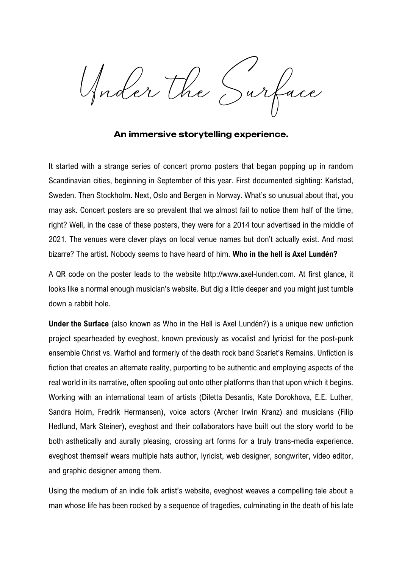Gader the Surfa

An immersive storytelling experience.

It started with a strange series of concert promo posters that began popping up in random Scandinavian cities, beginning in September of this year. First documented sighting: Karlstad, Sweden. Then Stockholm. Next, Oslo and Bergen in Norway. What's so unusual about that, you may ask. Concert posters are so prevalent that we almost fail to notice them half of the time, right? Well, in the case of these posters, they were for a 2014 tour advertised in the middle of 2021. The venues were clever plays on local venue names but don't actually exist. And most bizarre? The artist. Nobody seems to have heard of him. **Who in the hell is Axel Lundén?**

A QR code on the poster leads to the website http://www.axel-lunden.com. At first glance, it looks like a normal enough musician's website. But dig a little deeper and you might just tumble down a rabbit hole.

**Under the Surface** (also known as Who in the Hell is Axel Lundén?) is a unique new unfiction project spearheaded by eveghost, known previously as vocalist and lyricist for the post-punk ensemble Christ vs. Warhol and formerly of the death rock band Scarlet's Remains. Unfiction is fiction that creates an alternate reality, purporting to be authentic and employing aspects of the real world in its narrative, often spooling out onto other platforms than that upon which it begins. Working with an international team of artists (Diletta Desantis, Kate Dorokhova, E.E. Luther, Sandra Holm, Fredrik Hermansen), voice actors (Archer Irwin Kranz) and musicians (Filip Hedlund, Mark Steiner), eveghost and their collaborators have built out the story world to be both asthetically and aurally pleasing, crossing art forms for a truly trans-media experience. eveghost themself wears multiple hats author, lyricist, web designer, songwriter, video editor, and graphic designer among them.

Using the medium of an indie folk artist's website, eveghost weaves a compelling tale about a man whose life has been rocked by a sequence of tragedies, culminating in the death of his late